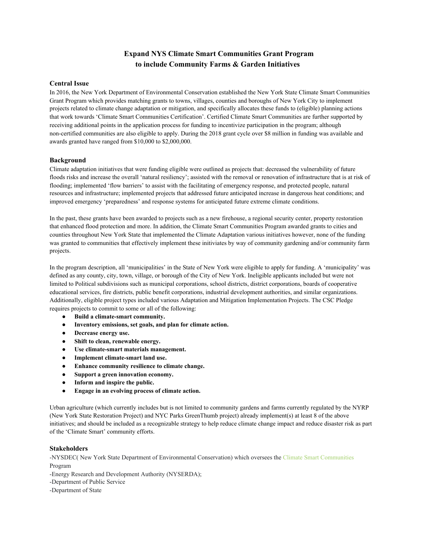# **Expand NYS Climate Smart Communities Grant Program to include Community Farms & Garden Initiatives**

## **Central Issue**

In 2016, the New York Department of Environmental Conservation established the New York State Climate Smart Communities Grant Program which provides matching grants to towns, villages, counties and boroughs of New York City to implement projects related to climate change adaptation or mitigation, and specifically allocates these funds to (eligible) planning actions that work towards 'Climate Smart Communities Certification'. Certified Climate Smart Communities are further supported by receiving additional points in the application process for funding to incentivize participation in the program; although non-certified communities are also eligible to apply. During the 2018 grant cycle over \$8 million in funding was available and awards granted have ranged from \$10,000 to \$2,000,000.

### **Background**

Climate adaptation initiatives that were funding eligible were outlined as projects that: decreased the vulnerability of future floods risks and increase the overall 'natural resiliency'; assisted with the removal or renovation of infrastructure that is at risk of flooding; implemented 'flow barriers' to assist with the facilitating of emergency response, and protected people, natural resources and infrastructure; implemented projects that addressed future anticipated increase in dangerous heat conditions; and improved emergency 'preparedness' and response systems for anticipated future extreme climate conditions.

In the past, these grants have been awarded to projects such as a new firehouse, a regional security center, property restoration that enhanced flood protection and more. In addition, the Climate Smart Communities Program awarded grants to cities and counties throughout New York State that implemented the Climate Adaptation various initiatives however, none of the funding was granted to communities that effectively implement these initiviates by way of community gardening and/or community farm projects.

In the program description, all 'municipalities' in the State of New York were eligible to apply for funding. A 'municipality' was defined as any county, city, town, village, or borough of the City of New York. Ineligible applicants included but were not limited to Political subdivisions such as municipal corporations, school districts, district corporations, boards of cooperative educational services, fire districts, public benefit corporations, industrial development authorities, and similar organizations. Additionally, eligible project types included various Adaptation and Mitigation Implementation Projects. The CSC Pledge requires projects to commit to some or all of the following:

- **Build a climate-smart community.**
- **Inventory emissions, set goals, and plan for climate action.**
- **Decrease energy use.**
- **Shift to clean, renewable energy.**
- Use climate-smart materials management.
- **Implement climate-smart land use.**
- **Enhance community resilience to climate change.**
- **Support a green innovation economy.**
- **Inform and inspire the public.**
- **Engage in an evolving process of climate action.**

Urban agriculture (which currently includes but is not limited to community gardens and farms currently regulated by the NYRP (New York State Restoration Project) and NYC Parks GreenThumb project) already implement(s) at least 8 of the above initiatives; and should be included as a recognizable strategy to help reduce climate change impact and reduce disaster risk as part of the 'Climate Smart' community efforts.

### **Stakeholders**

-NYSDEC( New York State Department of Environmental Conservation) which oversees the [Climate Smart Communities](https://climatesmart.ny.gov/) Program

-Energy Research and Development Authority (NYSERDA);

-Department of Public Service

-Department of State